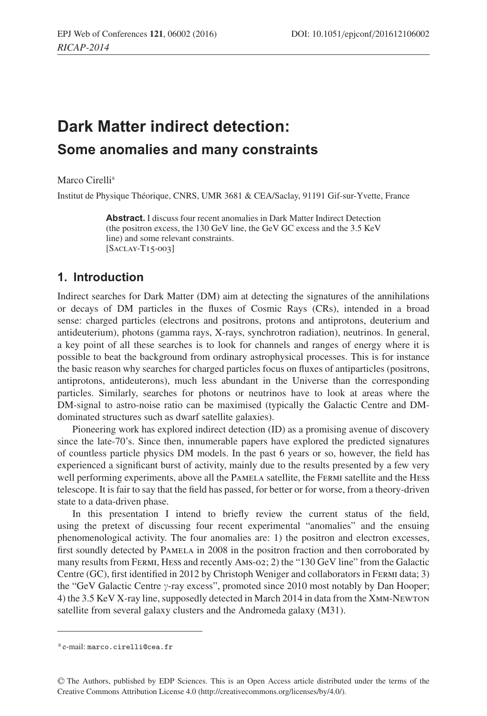# **Dark Matter indirect detection: Some anomalies and many constraints**

Marco Cirelli<sup>a</sup>

Institut de Physique Théorique, CNRS, UMR 3681 & CEA/Saclay, 91191 Gif-sur-Yvette, France

**Abstract.** I discuss four recent anomalies in Dark Matter Indirect Detection (the positron excess, the 130 GeV line, the GeV GC excess and the 3.5 KeV line) and some relevant constraints. [Saclay-T15-003]

### **1. Introduction**

Indirect searches for Dark Matter (DM) aim at detecting the signatures of the annihilations or decays of DM particles in the fluxes of Cosmic Rays (CRs), intended in a broad sense: charged particles (electrons and positrons, protons and antiprotons, deuterium and antideuterium), photons (gamma rays, X-rays, synchrotron radiation), neutrinos. In general, a key point of all these searches is to look for channels and ranges of energy where it is possible to beat the background from ordinary astrophysical processes. This is for instance the basic reason why searches for charged particles focus on fluxes of antiparticles (positrons, antiprotons, antideuterons), much less abundant in the Universe than the corresponding particles. Similarly, searches for photons or neutrinos have to look at areas where the DM-signal to astro-noise ratio can be maximised (typically the Galactic Centre and DMdominated structures such as dwarf satellite galaxies).

Pioneering work has explored indirect detection (ID) as a promising avenue of discovery since the late-70's. Since then, innumerable papers have explored the predicted signatures of countless particle physics DM models. In the past 6 years or so, however, the field has experienced a significant burst of activity, mainly due to the results presented by a few very well performing experiments, above all the PAMELA satellite, the FERMI satellite and the HESS telescope. It is fair to say that the field has passed, for better or for worse, from a theory-driven state to a data-driven phase.

In this presentation I intend to briefly review the current status of the field, using the pretext of discussing four recent experimental "anomalies" and the ensuing phenomenological activity. The four anomalies are: 1) the positron and electron excesses, first soundly detected by Pamela in 2008 in the positron fraction and then corroborated by many results from Fermi, Hess and recently Ams-02; 2) the "130 GeV line" from the Galactic Centre (GC), first identified in 2012 by Christoph Weniger and collaborators in Fermi data; 3) the "GeV Galactic Centre  $\gamma$ -ray excess", promoted since 2010 most notably by Dan Hooper; 4) the 3.5 KeV X-ray line, supposedly detected in March 2014 in data from the Xmm-Newton satellite from several galaxy clusters and the Andromeda galaxy (M31).

<sup>a</sup> e-mail: marco.cirelli@cea.fr

<sup>C</sup> The Authors, published by EDP Sciences. This is an Open Access article distributed under the terms of the Creative Commons Attribution License 4.0 (http://creativecommons.org/licenses/by/4.0/).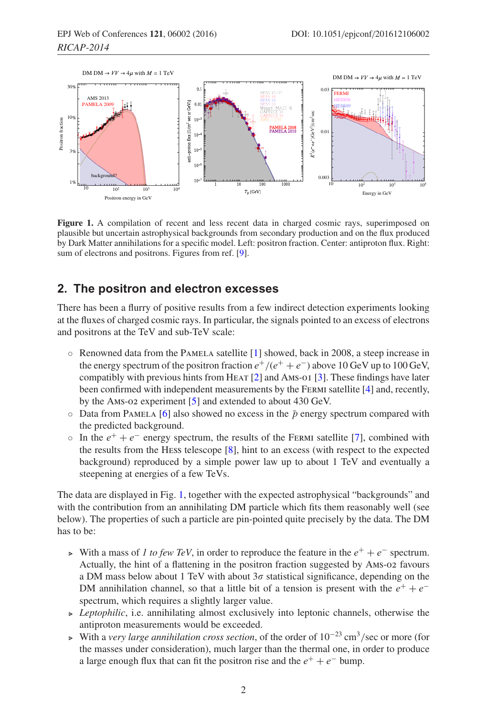<span id="page-1-0"></span>

**Figure 1.** A compilation of recent and less recent data in charged cosmic rays, superimposed on plausible but uncertain astrophysical backgrounds from secondary production and on the flux produced by Dark Matter annihilations for a specific model. Left: positron fraction. Center: antiproton flux. Right: sum of electrons and positrons. Figures from ref. [\[9\]](#page-6-0).

#### **2. The positron and electron excesses**

There has been a flurry of positive results from a few indirect detection experiments looking at the fluxes of charged cosmic rays. In particular, the signals pointed to an excess of electrons and positrons at the TeV and sub-TeV scale:

- Renowned data from the Pamela satellite [\[1\]](#page-6-1) showed, back in 2008, a steep increase in the energy spectrum of the positron fraction  $e^+/(e^+ + e^-)$  above 10 GeV up to 100 GeV, compatibly with previous hints from HEAT  $[2]$  and AMS-01  $[3]$  $[3]$ . These findings have later been confirmed with independent measurements by the Fermi satellite [\[4\]](#page-6-4) and, recently, by the Ams-02 experiment [\[5\]](#page-6-5) and extended to about 430 GeV.
- $\circ$  Data from PAMELA [\[6\]](#page-6-6) also showed no excess in the  $\bar{p}$  energy spectrum compared with the predicted background.
- $\circ$  In the  $e^+ + e^-$  energy spectrum, the results of the FERMI satellite [\[7](#page-6-7)], combined with the results from the Hess telescope [\[8\]](#page-6-8), hint to an excess (with respect to the expected background) reproduced by a simple power law up to about 1 TeV and eventually a steepening at energies of a few TeVs.

The data are displayed in Fig. [1,](#page-1-0) together with the expected astrophysical "backgrounds" and with the contribution from an annihilating DM particle which fits them reasonably well (see below). The properties of such a particle are pin-pointed quite precisely by the data. The DM has to be:

- ► With a mass of *1 to few TeV*, in order to reproduce the feature in the  $e^+ + e^-$  spectrum. Actually, the hint of a flattening in the positron fraction suggested by Ams-02 favours a DM mass below about 1 TeV with about  $3\sigma$  statistical significance, depending on the DM annihilation channel, so that a little bit of a tension is present with the  $e^+ + e^$ spectrum, which requires a slightly larger value.
- $\rightarrow$  *Leptophilic*, i.e. annihilating almost exclusively into leptonic channels, otherwise the antiproton measurements would be exceeded.
- With a *very large annihilation cross section*, of the order of 10−<sup>23</sup> cm<sup>3</sup>/sec or more (for the masses under consideration), much larger than the thermal one, in order to produce a large enough flux that can fit the positron rise and the  $e^+ + e^-$  bump.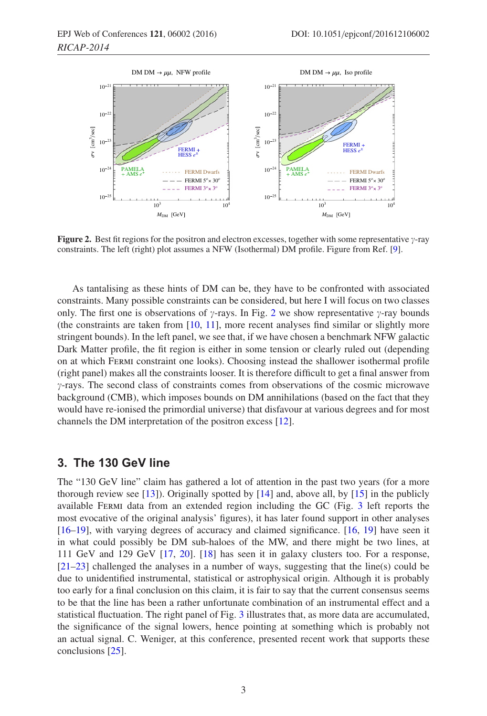<span id="page-2-0"></span>

**Figure 2.** Best fit regions for the positron and electron excesses, together with some representative  $\gamma$ -ray constraints. The left (right) plot assumes a NFW (Isothermal) DM profile. Figure from Ref. [\[9\]](#page-6-0).

As tantalising as these hints of DM can be, they have to be confronted with associated constraints. Many possible constraints can be considered, but here I will focus on two classes only. The first one is observations of  $\gamma$ -rays. In Fig. [2](#page-2-0) we show representative  $\gamma$ -ray bounds (the constraints are taken from  $[10, 11]$  $[10, 11]$  $[10, 11]$  $[10, 11]$ , more recent analyses find similar or slightly more stringent bounds). In the left panel, we see that, if we have chosen a benchmark NFW galactic Dark Matter profile, the fit region is either in some tension or clearly ruled out (depending on at which Fermi constraint one looks). Choosing instead the shallower isothermal profile (right panel) makes all the constraints looser. It is therefore difficult to get a final answer from  $\gamma$ -rays. The second class of constraints comes from observations of the cosmic microwave background (CMB), which imposes bounds on DM annihilations (based on the fact that they would have re-ionised the primordial universe) that disfavour at various degrees and for most channels the DM interpretation of the positron excess [\[12\]](#page-6-11).

## **3. The 130 GeV line**

The "130 GeV line" claim has gathered a lot of attention in the past two years (for a more thorough review see [\[13\]](#page-7-0)). Originally spotted by [\[14](#page-7-1)] and, above all, by [\[15\]](#page-7-2) in the publicly available Fermi data from an extended region including the GC (Fig. [3](#page-3-0) left reports the most evocative of the original analysis' figures), it has later found support in other analyses [\[16](#page-7-3)[–19\]](#page-7-4), with varying degrees of accuracy and claimed significance. [\[16,](#page-7-3) [19\]](#page-7-4) have seen it in what could possibly be DM sub-haloes of the MW, and there might be two lines, at 111 GeV and 129 GeV [\[17,](#page-7-5) [20\]](#page-7-6). [\[18\]](#page-7-7) has seen it in galaxy clusters too. For a response, [\[21](#page-7-8)[–23\]](#page-7-9) challenged the analyses in a number of ways, suggesting that the line(s) could be due to unidentified instrumental, statistical or astrophysical origin. Although it is probably too early for a final conclusion on this claim, it is fair to say that the current consensus seems to be that the line has been a rather unfortunate combination of an instrumental effect and a statistical fluctuation. The right panel of Fig. [3](#page-3-0) illustrates that, as more data are accumulated, the significance of the signal lowers, hence pointing at something which is probably not an actual signal. C. Weniger, at this conference, presented recent work that supports these conclusions [\[25\]](#page-7-10).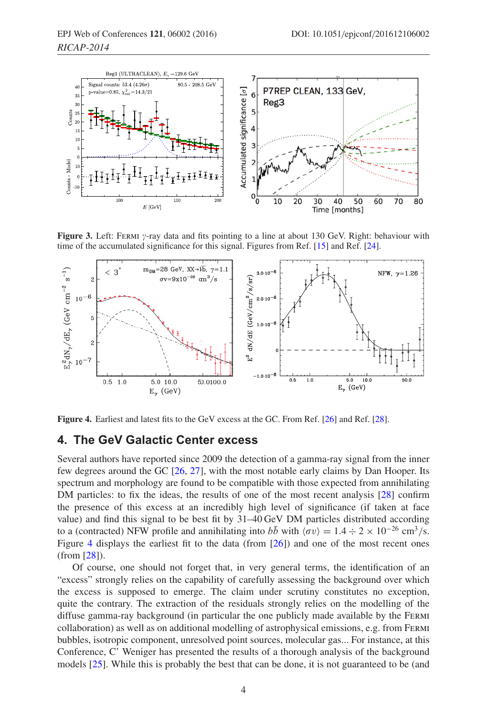<span id="page-3-0"></span>

**Figure 3.** Left: FERMI *y*-ray data and fits pointing to a line at about 130 GeV. Right: behaviour with time of the accumulated significance for this signal. Figures from Ref. [\[15](#page-7-2)] and Ref. [\[24](#page-7-11)].

<span id="page-3-1"></span>

**Figure 4.** Earliest and latest fits to the GeV excess at the GC. From Ref. [\[26\]](#page-7-12) and Ref. [\[28](#page-7-13)].

#### <span id="page-3-2"></span>**4. The GeV Galactic Center excess**

Several authors have reported since 2009 the detection of a gamma-ray signal from the inner few degrees around the GC [\[26,](#page-7-12) [27](#page-7-14)], with the most notable early claims by Dan Hooper. Its spectrum and morphology are found to be compatible with those expected from annihilating DM particles: to fix the ideas, the results of one of the most recent analysis [\[28](#page-7-13)] confirm the presence of this excess at an incredibly high level of significance (if taken at face value) and find this signal to be best fit by 31–40 GeV DM particles distributed according to a (contracted) NFW profile and annihilating into  $b\bar{b}$  with  $\langle \sigma v \rangle = 1.4 \div 2 \times 10^{-26}$  cm<sup>3</sup>/s. Figure [4](#page-3-1) displays the earliest fit to the data (from [\[26\]](#page-7-12)) and one of the most recent ones (from [\[28](#page-7-13)]).

Of course, one should not forget that, in very general terms, the identification of an "excess" strongly relies on the capability of carefully assessing the background over which the excess is supposed to emerge. The claim under scrutiny constitutes no exception, quite the contrary. The extraction of the residuals strongly relies on the modelling of the diffuse gamma-ray background (in particular the one publicly made available by the Fermi collaboration) as well as on additional modelling of astrophysical emissions, e.g. from Fermi bubbles, isotropic component, unresolved point sources, molecular gas... For instance, at this Conference, C' Weniger has presented the results of a thorough analysis of the background models [\[25](#page-7-10)]. While this is probably the best that can be done, it is not guaranteed to be (and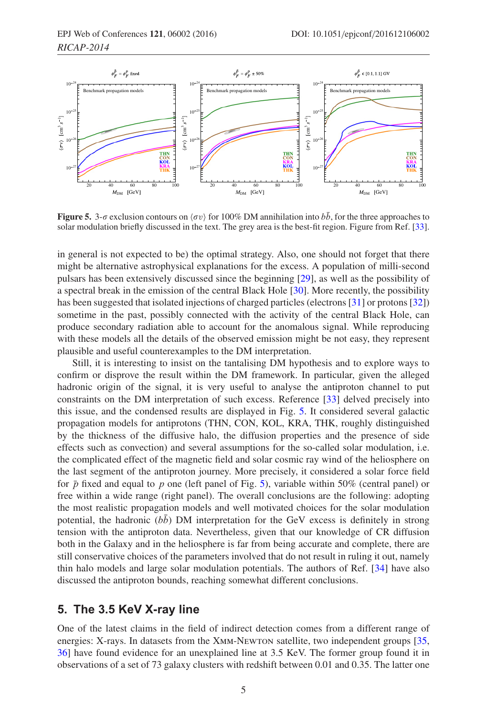<span id="page-4-0"></span>

**Figure 5.** 3- $\sigma$  exclusion contours on  $\langle \sigma v \rangle$  for 100% DM annihilation into  $b\bar{b}$ , for the three approaches to solar modulation briefly discussed in the text. The grey area is the best-fit region. Figure from Ref. [\[33](#page-7-15)].

in general is not expected to be) the optimal strategy. Also, one should not forget that there might be alternative astrophysical explanations for the excess. A population of milli-second pulsars has been extensively discussed since the beginning [\[29](#page-7-16)], as well as the possibility of a spectral break in the emission of the central Black Hole [\[30](#page-7-17)]. More recently, the possibility has been suggested that isolated injections of charged particles (electrons [\[31](#page-7-18)] or protons [\[32\]](#page-7-19)) sometime in the past, possibly connected with the activity of the central Black Hole, can produce secondary radiation able to account for the anomalous signal. While reproducing with these models all the details of the observed emission might be not easy, they represent plausible and useful counterexamples to the DM interpretation.

Still, it is interesting to insist on the tantalising DM hypothesis and to explore ways to confirm or disprove the result within the DM framework. In particular, given the alleged hadronic origin of the signal, it is very useful to analyse the antiproton channel to put constraints on the DM interpretation of such excess. Reference [\[33](#page-7-15)] delved precisely into this issue, and the condensed results are displayed in Fig. [5.](#page-4-0) It considered several galactic propagation models for antiprotons (THN, CON, KOL, KRA, THK, roughly distinguished by the thickness of the diffusive halo, the diffusion properties and the presence of side effects such as convection) and several assumptions for the so-called solar modulation, i.e. the complicated effect of the magnetic field and solar cosmic ray wind of the heliosphere on the last segment of the antiproton journey. More precisely, it considered a solar force field for  $\bar{p}$  fixed and equal to p one (left panel of Fig. [5\)](#page-4-0), variable within 50% (central panel) or free within a wide range (right panel). The overall conclusions are the following: adopting the most realistic propagation models and well motivated choices for the solar modulation potential, the hadronic ( $b\bar{b}$ ) DM interpretation for the GeV excess is definitely in strong tension with the antiproton data. Nevertheless, given that our knowledge of CR diffusion both in the Galaxy and in the heliosphere is far from being accurate and complete, there are still conservative choices of the parameters involved that do not result in ruling it out, namely thin halo models and large solar modulation potentials. The authors of Ref. [\[34\]](#page-7-20) have also discussed the antiproton bounds, reaching somewhat different conclusions.

#### **5. The 3.5 KeV X-ray line**

One of the latest claims in the field of indirect detection comes from a different range of energies: X-rays. In datasets from the XMM-NEWTON satellite, two independent groups [\[35,](#page-7-21) [36\]](#page-7-22) have found evidence for an unexplained line at 3.5 KeV. The former group found it in observations of a set of 73 galaxy clusters with redshift between 0.01 and 0.35. The latter one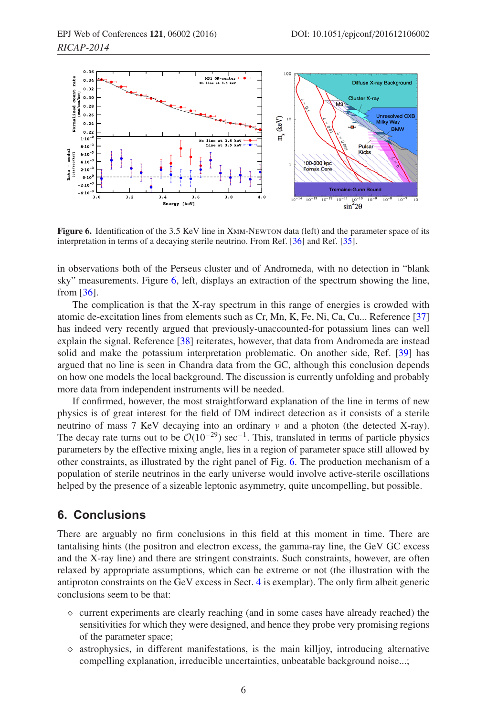<span id="page-5-0"></span>

**Figure 6.** Identification of the 3.5 KeV line in XMM-NEWTON data (left) and the parameter space of its interpretation in terms of a decaying sterile neutrino. From Ref. [\[36\]](#page-7-22) and Ref. [\[35\]](#page-7-21).

in observations both of the Perseus cluster and of Andromeda, with no detection in "blank sky" measurements. Figure [6,](#page-5-0) left, displays an extraction of the spectrum showing the line, from [\[36\]](#page-7-22).

The complication is that the X-ray spectrum in this range of energies is crowded with atomic de-excitation lines from elements such as Cr, Mn, K, Fe, Ni, Ca, Cu... Reference [\[37\]](#page-7-23) has indeed very recently argued that previously-unaccounted-for potassium lines can well explain the signal. Reference [\[38](#page-7-24)] reiterates, however, that data from Andromeda are instead solid and make the potassium interpretation problematic. On another side, Ref. [\[39\]](#page-7-25) has argued that no line is seen in Chandra data from the GC, although this conclusion depends on how one models the local background. The discussion is currently unfolding and probably more data from independent instruments will be needed.

If confirmed, however, the most straightforward explanation of the line in terms of new physics is of great interest for the field of DM indirect detection as it consists of a sterile neutrino of mass 7 KeV decaying into an ordinary ν and a photon (the detected X-ray). The decay rate turns out to be  $\mathcal{O}(10^{-29})$  sec<sup>-1</sup>. This, translated in terms of particle physics parameters by the effective mixing angle, lies in a region of parameter space still allowed by other constraints, as illustrated by the right panel of Fig. [6.](#page-5-0) The production mechanism of a population of sterile neutrinos in the early universe would involve active-sterile oscillations helped by the presence of a sizeable leptonic asymmetry, quite uncompelling, but possible.

#### **6. Conclusions**

There are arguably no firm conclusions in this field at this moment in time. There are tantalising hints (the positron and electron excess, the gamma-ray line, the GeV GC excess and the X-ray line) and there are stringent constraints. Such constraints, however, are often relaxed by appropriate assumptions, which can be extreme or not (the illustration with the antiproton constraints on the GeV excess in Sect. [4](#page-3-2) is exemplar). The only firm albeit generic conclusions seem to be that:

- $\Diamond$  current experiments are clearly reaching (and in some cases have already reached) the sensitivities for which they were designed, and hence they probe very promising regions of the parameter space;
- $\Diamond$  astrophysics, in different manifestations, is the main killjoy, introducing alternative compelling explanation, irreducible uncertainties, unbeatable background noise...;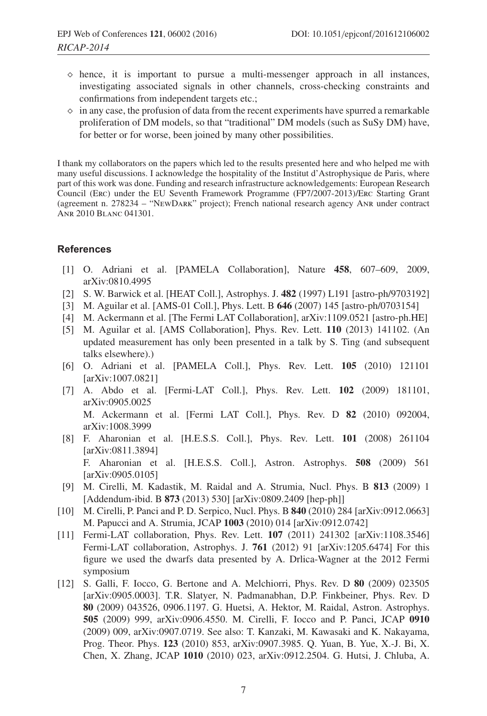- $\diamond$  hence, it is important to pursue a multi-messenger approach in all instances, investigating associated signals in other channels, cross-checking constraints and confirmations from independent targets etc.;
- $\Diamond$  in any case, the profusion of data from the recent experiments have spurred a remarkable proliferation of DM models, so that "traditional" DM models (such as SuSy DM) have, for better or for worse, been joined by many other possibilities.

I thank my collaborators on the papers which led to the results presented here and who helped me with many useful discussions. I acknowledge the hospitality of the Institut d'Astrophysique de Paris, where part of this work was done. Funding and research infrastructure acknowledgements: European Research Council (Erc) under the EU Seventh Framework Programme (FP7/2007-2013)/Erc Starting Grant (agreement n. 278234 – "NewDark" project); French national research agency Anr under contract Anr 2010 Blanc 041301.

#### <span id="page-6-1"></span>**References**

- [1] O. Adriani et al. [PAMELA Collaboration], Nature **458**, 607–609, 2009, arXiv:0810.4995
- <span id="page-6-2"></span>[2] S. W. Barwick et al. [HEAT Coll.], Astrophys. J. **482** (1997) L191 [astro-ph/9703192]
- <span id="page-6-3"></span>[3] M. Aguilar et al. [AMS-01 Coll.], Phys. Lett. B **646** (2007) 145 [astro-ph/0703154]
- <span id="page-6-4"></span>[4] M. Ackermann et al. [The Fermi LAT Collaboration], arXiv:1109.0521 [astro-ph.HE]
- <span id="page-6-5"></span>[5] M. Aguilar et al. [AMS Collaboration], Phys. Rev. Lett. **110** (2013) 141102. (An updated measurement has only been presented in a talk by S. Ting (and subsequent talks elsewhere).)
- <span id="page-6-6"></span>[6] O. Adriani et al. [PAMELA Coll.], Phys. Rev. Lett. **105** (2010) 121101 [arXiv:1007.0821]
- <span id="page-6-7"></span>[7] A. Abdo et al. [Fermi-LAT Coll.], Phys. Rev. Lett. **102** (2009) 181101, arXiv:0905.0025 M. Ackermann et al. [Fermi LAT Coll.], Phys. Rev. D **82** (2010) 092004, arXiv:1008.3999
- <span id="page-6-8"></span>[8] F. Aharonian et al. [H.E.S.S. Coll.], Phys. Rev. Lett. **101** (2008) 261104 [arXiv:0811.3894] F. Aharonian et al. [H.E.S.S. Coll.], Astron. Astrophys. **508** (2009) 561 [arXiv:0905.0105]
- <span id="page-6-0"></span>[9] M. Cirelli, M. Kadastik, M. Raidal and A. Strumia, Nucl. Phys. B **813** (2009) 1 [Addendum-ibid. B **873** (2013) 530] [arXiv:0809.2409 [hep-ph]]
- <span id="page-6-9"></span>[10] M. Cirelli, P. Panci and P. D. Serpico, Nucl. Phys. B **840** (2010) 284 [arXiv:0912.0663] M. Papucci and A. Strumia, JCAP **1003** (2010) 014 [arXiv:0912.0742]
- <span id="page-6-10"></span>[11] Fermi-LAT collaboration, Phys. Rev. Lett. **107** (2011) 241302 [arXiv:1108.3546] Fermi-LAT collaboration, Astrophys. J. **761** (2012) 91 [arXiv:1205.6474] For this figure we used the dwarfs data presented by A. Drlica-Wagner at the 2012 Fermi symposium
- <span id="page-6-11"></span>[12] S. Galli, F. Iocco, G. Bertone and A. Melchiorri, Phys. Rev. D **80** (2009) 023505 [arXiv:0905.0003]. T.R. Slatyer, N. Padmanabhan, D.P. Finkbeiner, Phys. Rev. D **80** (2009) 043526, 0906.1197. G. Huetsi, A. Hektor, M. Raidal, Astron. Astrophys. **505** (2009) 999, arXiv:0906.4550. M. Cirelli, F. Iocco and P. Panci, JCAP **0910** (2009) 009, arXiv:0907.0719. See also: T. Kanzaki, M. Kawasaki and K. Nakayama, Prog. Theor. Phys. **123** (2010) 853, arXiv:0907.3985. Q. Yuan, B. Yue, X.-J. Bi, X. Chen, X. Zhang, JCAP **1010** (2010) 023, arXiv:0912.2504. G. Hutsi, J. Chluba, A.